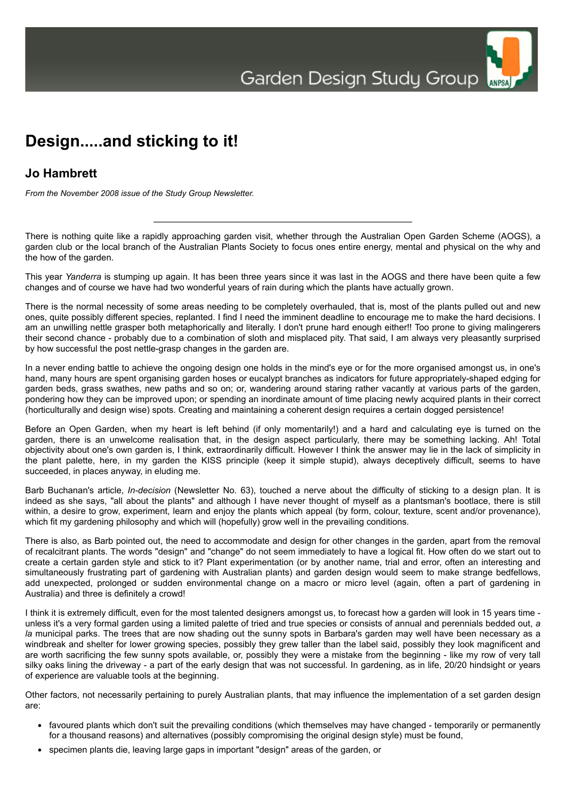

## **Jo Hambrett**

*From the November 2008 issue of the Study Group Newsletter.*

There is nothing quite like a rapidly approaching garden visit, whether through the Australian Open Garden Scheme (AOGS), a garden club or the local branch of the Australian Plants Society to focus ones entire energy, mental and physical on the why and the how of the garden.

This year *Yanderra* is stumping up again. It has been three years since it was last in the AOGS and there have been quite a few changes and of course we have had two wonderful years of rain during which the plants have actually grown.

There is the normal necessity of some areas needing to be completely overhauled, that is, most of the plants pulled out and new ones, quite possibly different species, replanted. I find I need the imminent deadline to encourage me to make the hard decisions. I am an unwilling nettle grasper both metaphorically and literally. I don't prune hard enough either!! Too prone to giving malingerers their second chance - probably due to a combination of sloth and misplaced pity. That said, I am always very pleasantly surprised by how successful the post nettle-grasp changes in the garden are.

In a never ending battle to achieve the ongoing design one holds in the mind's eye or for the more organised amongst us, in one's hand, many hours are spent organising garden hoses or eucalypt branches as indicators for future appropriately-shaped edging for garden beds, grass swathes, new paths and so on; or, wandering around staring rather vacantly at various parts of the garden, pondering how they can be improved upon; or spending an inordinate amount of time placing newly acquired plants in their correct (horticulturally and design wise) spots. Creating and maintaining a coherent design requires a certain dogged persistence!

Before an Open Garden, when my heart is left behind (if only momentarily!) and a hard and calculating eye is turned on the garden, there is an unwelcome realisation that, in the design aspect particularly, there may be something lacking. Ah! Total objectivity about one's own garden is, I think, extraordinarily difficult. However I think the answer may lie in the lack of simplicity in the plant palette, here, in my garden the KISS principle (keep it simple stupid), always deceptively difficult, seems to have succeeded, in places anyway, in eluding me.

Barb Buchanan's article, *In-decision* (Newsletter No. 63), touched a nerve about the difficulty of sticking to a design plan. It is indeed as she says, "all about the plants" and although I have never thought of myself as a plantsman's bootlace, there is still within, a desire to grow, experiment, learn and enjoy the plants which appeal (by form, colour, texture, scent and/or provenance), which fit my gardening philosophy and which will (hopefully) grow well in the prevailing conditions.

There is also, as Barb pointed out, the need to accommodate and design for other changes in the garden, apart from the removal of recalcitrant plants. The words "design" and "change" do not seem immediately to have a logical fit. How often do we start out to create a certain garden style and stick to it? Plant experimentation (or by another name, trial and error, often an interesting and simultaneously frustrating part of gardening with Australian plants) and garden design would seem to make strange bedfellows, add unexpected, prolonged or sudden environmental change on a macro or micro level (again, often a part of gardening in Australia) and three is definitely a crowd!

I think it is extremely difficult, even for the most talented designers amongst us, to forecast how a garden will look in 15 years time unless it's a very formal garden using a limited palette of tried and true species or consists of annual and perennials bedded out, *a la* municipal parks. The trees that are now shading out the sunny spots in Barbara's garden may well have been necessary as a windbreak and shelter for lower growing species, possibly they grew taller than the label said, possibly they look magnificent and are worth sacrificing the few sunny spots available, or, possibly they were a mistake from the beginning - like my row of very tall silky oaks lining the driveway - a part of the early design that was not successful. In gardening, as in life, 20/20 hindsight or years of experience are valuable tools at the beginning.

Other factors, not necessarily pertaining to purely Australian plants, that may influence the implementation of a set garden design are:

- favoured plants which don't suit the prevailing conditions (which themselves may have changed temporarily or permanently for a thousand reasons) and alternatives (possibly compromising the original design style) must be found,
- specimen plants die, leaving large gaps in important "design" areas of the garden, or